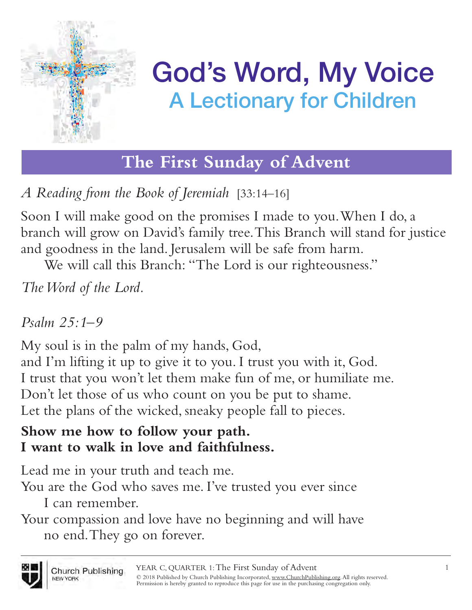

**The First Sunday of Advent**

*A Reading from the Book of Jeremiah* [33:14–16]

Soon I will make good on the promises I made to you. When I do, a branch will grow on David's family tree. This Branch will stand for justice and goodness in the land. Jerusalem will be safe from harm.

We will call this Branch: "The Lord is our righteousness."

*The Word of the Lord.*

### *Psalm 25:1–9*

My soul is in the palm of my hands, God,

and I'm lifting it up to give it to you. I trust you with it, God. I trust that you won't let them make fun of me, or humiliate me. Don't let those of us who count on you be put to shame. Let the plans of the wicked, sneaky people fall to pieces.

#### **Show me how to follow your path. I want to walk in love and faithfulness.**

Lead me in your truth and teach me.

You are the God who saves me. I've trusted you ever since I can remember.

Your compassion and love have no beginning and will have no end. They go on forever.

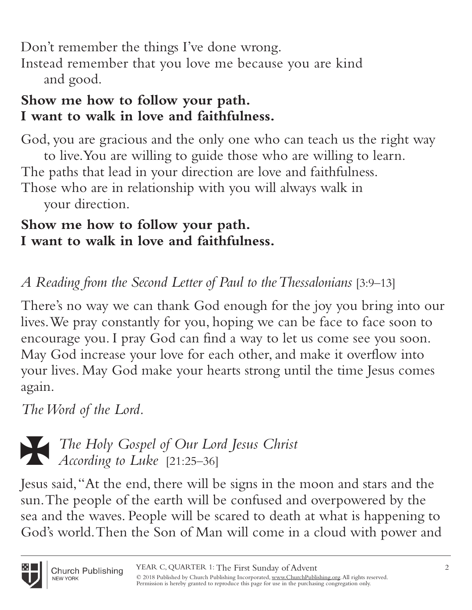Don't remember the things I've done wrong.

Instead remember that you love me because you are kind and good.

#### **Show me how to follow your path. I want to walk in love and faithfulness.**

God, you are gracious and the only one who can teach us the right way to live. You are willing to guide those who are willing to learn. The paths that lead in your direction are love and faithfulness. Those who are in relationship with you will always walk in

your direction.

#### **Show me how to follow your path. I want to walk in love and faithfulness.**

*A Reading from the Second Letter of Paul to the Thessalonians* [3:9–13]

There's no way we can thank God enough for the joy you bring into our lives. We pray constantly for you, hoping we can be face to face soon to encourage you. I pray God can find a way to let us come see you soon. May God increase your love for each other, and make it overflow into your lives. May God make your hearts strong until the time Jesus comes again.

*The Word of the Lord.*



i *The Holy Gospel of Our Lord Jesus Christ According to Luke* [21:25–36]

Jesus said, "At the end, there will be signs in the moon and stars and the sun. The people of the earth will be confused and overpowered by the sea and the waves. People will be scared to death at what is happening to God's world. Then the Son of Man will come in a cloud with power and

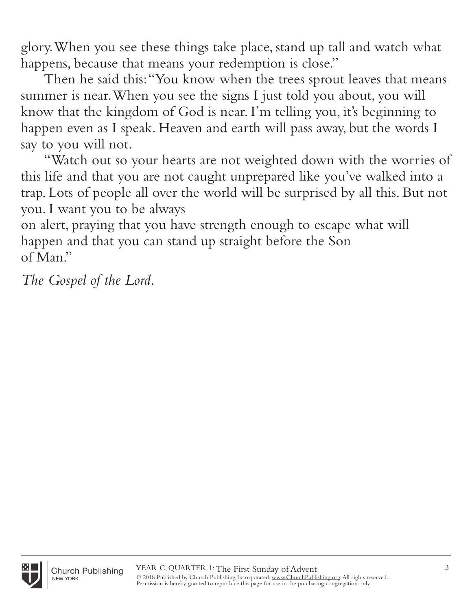glory. When you see these things take place, stand up tall and watch what happens, because that means your redemption is close."

Then he said this: "You know when the trees sprout leaves that means summer is near. When you see the signs I just told you about, you will know that the kingdom of God is near. I'm telling you, it's beginning to happen even as I speak. Heaven and earth will pass away, but the words I say to you will not.

"Watch out so your hearts are not weighted down with the worries of this life and that you are not caught unprepared like you've walked into a trap. Lots of people all over the world will be surprised by all this. But not you. I want you to be always

on alert, praying that you have strength enough to escape what will happen and that you can stand up straight before the Son of Man."

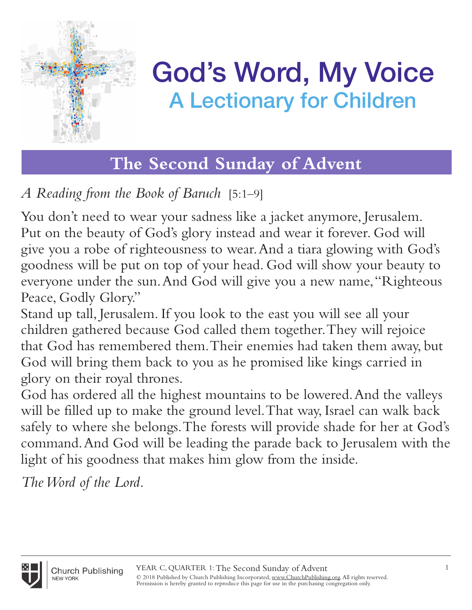

# **The Second Sunday of Advent**

*A Reading from the Book of Baruch* [5:1–9]

You don't need to wear your sadness like a jacket anymore, Jerusalem. Put on the beauty of God's glory instead and wear it forever. God will give you a robe of righteousness to wear. And a tiara glowing with God's goodness will be put on top of your head. God will show your beauty to everyone under the sun. And God will give you a new name, "Righteous Peace, Godly Glory."

Stand up tall, Jerusalem. If you look to the east you will see all your children gathered because God called them together. They will rejoice that God has remembered them. Their enemies had taken them away, but God will bring them back to you as he promised like kings carried in glory on their royal thrones.

God has ordered all the highest mountains to be lowered. And the valleys will be filled up to make the ground level. That way, Israel can walk back safely to where she belongs. The forests will provide shade for her at God's command. And God will be leading the parade back to Jerusalem with the light of his goodness that makes him glow from the inside.

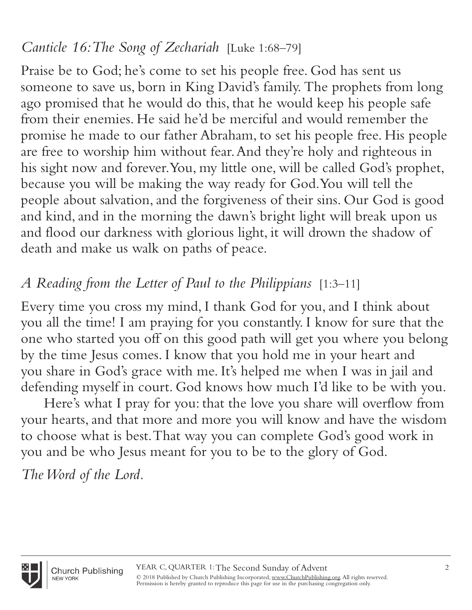### *Canticle 16: The Song of Zechariah* [Luke 1:68–79]

Praise be to God; he's come to set his people free. God has sent us someone to save us, born in King David's family. The prophets from long ago promised that he would do this, that he would keep his people safe from their enemies. He said he'd be merciful and would remember the promise he made to our father Abraham, to set his people free. His people are free to worship him without fear. And they're holy and righteous in his sight now and forever. You, my little one, will be called God's prophet, because you will be making the way ready for God. You will tell the people about salvation, and the forgiveness of their sins. Our God is good and kind, and in the morning the dawn's bright light will break upon us and flood our darkness with glorious light, it will drown the shadow of death and make us walk on paths of peace.

### *A Reading from the Letter of Paul to the Philippians* [1:3–11]

Every time you cross my mind, I thank God for you, and I think about you all the time! I am praying for you constantly. I know for sure that the one who started you off on this good path will get you where you belong by the time Jesus comes. I know that you hold me in your heart and you share in God's grace with me. It's helped me when I was in jail and defending myself in court. God knows how much I'd like to be with you.

Here's what I pray for you: that the love you share will overflow from your hearts, and that more and more you will know and have the wisdom to choose what is best. That way you can complete God's good work in you and be who Jesus meant for you to be to the glory of God.

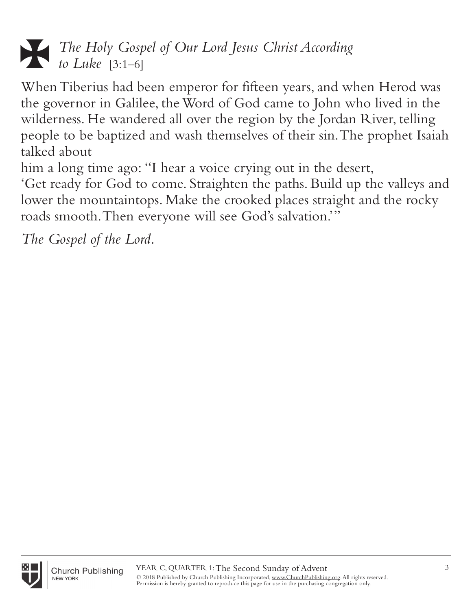# i *The Holy Gospel of Our Lord Jesus Christ According to Luke* [3:1–6]

When Tiberius had been emperor for fifteen years, and when Herod was the governor in Galilee, the Word of God came to John who lived in the wilderness. He wandered all over the region by the Jordan River, telling people to be baptized and wash themselves of their sin. The prophet Isaiah talked about

him a long time ago: "I hear a voice crying out in the desert,

'Get ready for God to come. Straighten the paths. Build up the valleys and lower the mountaintops. Make the crooked places straight and the rocky roads smooth. Then everyone will see God's salvation.'"

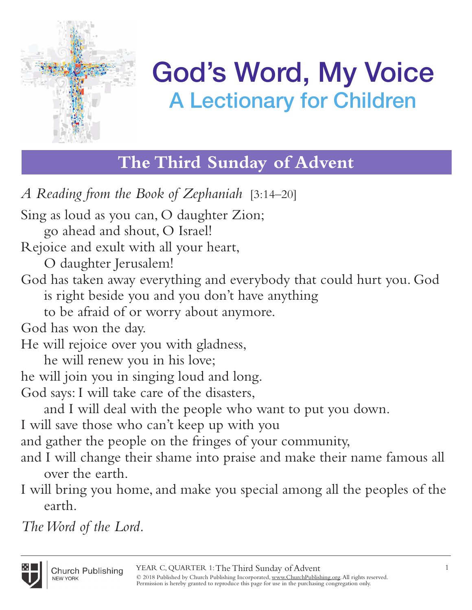

# **The Third Sunday of Advent**

*A Reading from the Book of Zephaniah* [3:14–20] Sing as loud as you can, O daughter Zion; go ahead and shout, O Israel! Rejoice and exult with all your heart, O daughter Jerusalem! God has taken away everything and everybody that could hurt you. God is right beside you and you don't have anything to be afraid of or worry about anymore. God has won the day. He will rejoice over you with gladness, he will renew you in his love; he will join you in singing loud and long. God says: I will take care of the disasters, and I will deal with the people who want to put you down. I will save those who can't keep up with you and gather the people on the fringes of your community, and I will change their shame into praise and make their name famous all over the earth. I will bring you home, and make you special among all the peoples of the earth.

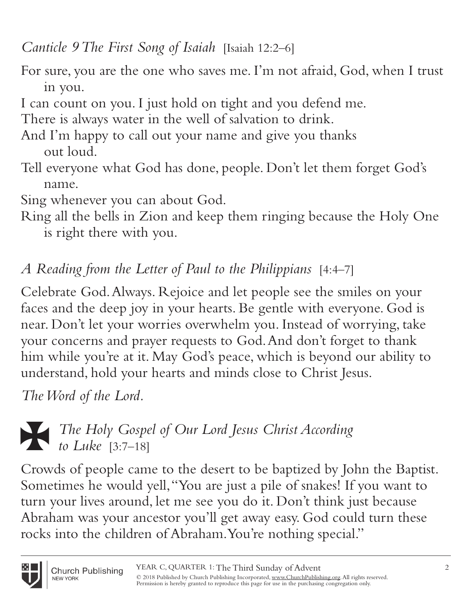*Canticle 9 The First Song of Isaiah* [Isaiah 12:2–6]

- For sure, you are the one who saves me. I'm not afraid, God, when I trust in you.
- I can count on you. I just hold on tight and you defend me.
- There is always water in the well of salvation to drink.
- And I'm happy to call out your name and give you thanks out loud.
- Tell everyone what God has done, people. Don't let them forget God's name.
- Sing whenever you can about God.
- Ring all the bells in Zion and keep them ringing because the Holy One is right there with you.

# *A Reading from the Letter of Paul to the Philippians* [4:4–7]

Celebrate God. Always. Rejoice and let people see the smiles on your faces and the deep joy in your hearts. Be gentle with everyone. God is near. Don't let your worries overwhelm you. Instead of worrying, take your concerns and prayer requests to God. And don't forget to thank him while you're at it. May God's peace, which is beyond our ability to understand, hold your hearts and minds close to Christ Jesus.

*The Word of the Lord.*



i *The Holy Gospel of Our Lord Jesus Christ According to Luke* [3:7–18]

Crowds of people came to the desert to be baptized by John the Baptist. Sometimes he would yell, "You are just a pile of snakes! If you want to turn your lives around, let me see you do it. Don't think just because Abraham was your ancestor you'll get away easy. God could turn these rocks into the children of Abraham. You're nothing special."

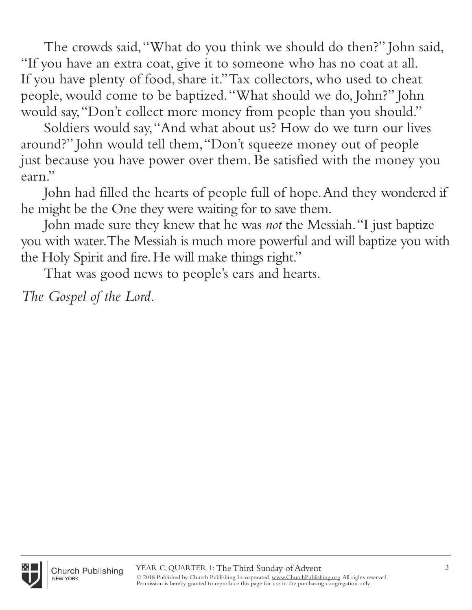The crowds said, "What do you think we should do then?" John said, "If you have an extra coat, give it to someone who has no coat at all. If you have plenty of food, share it." Tax collectors, who used to cheat people, would come to be baptized. "What should we do, John?" John would say, "Don't collect more money from people than you should."

Soldiers would say, "And what about us? How do we turn our lives around?" John would tell them, "Don't squeeze money out of people just because you have power over them. Be satisfied with the money you earn."

John had filled the hearts of people full of hope. And they wondered if he might be the One they were waiting for to save them.

John made sure they knew that he was *not* the Messiah. "I just baptize you with water. The Messiah is much more powerful and will baptize you with the Holy Spirit and fire. He will make things right."

That was good news to people's ears and hearts.

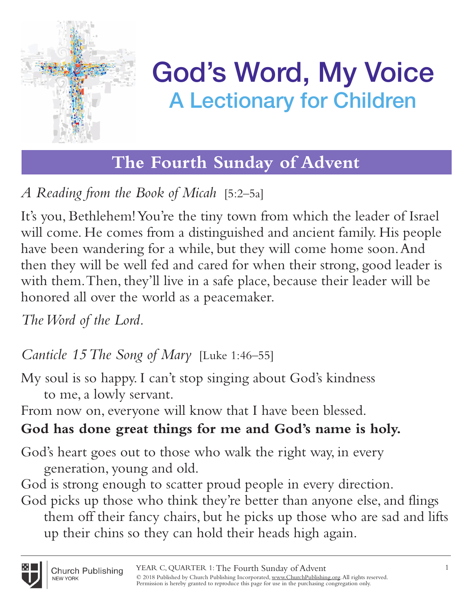

# **The Fourth Sunday of Advent**

# *A Reading from the Book of Micah* [5:2–5a]

It's you, Bethlehem! You're the tiny town from which the leader of Israel will come. He comes from a distinguished and ancient family. His people have been wandering for a while, but they will come home soon. And then they will be well fed and cared for when their strong, good leader is with them. Then, they'll live in a safe place, because their leader will be honored all over the world as a peacemaker.

*The Word of the Lord.*

*Canticle 15 The Song of Mary* [Luke 1:46–55]

My soul is so happy. I can't stop singing about God's kindness to me, a lowly servant.

From now on, everyone will know that I have been blessed.

# **God has done great things for me and God's name is holy.**

God's heart goes out to those who walk the right way, in every generation, young and old.

God is strong enough to scatter proud people in every direction.

God picks up those who think they're better than anyone else, and flings them off their fancy chairs, but he picks up those who are sad and lifts up their chins so they can hold their heads high again.

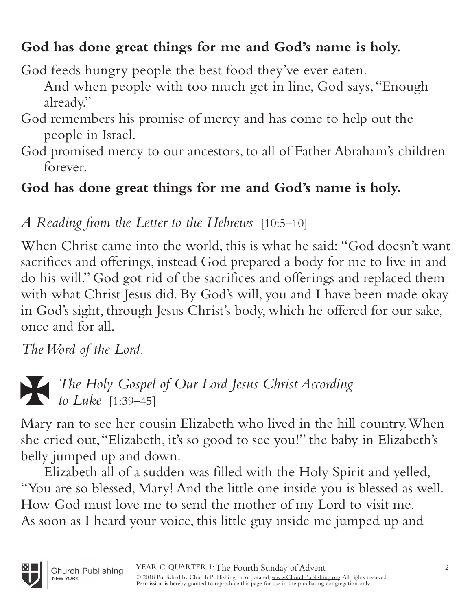### **God has done great things for me and God's name is holy.**

God feeds hungry people the best food they've ever eaten.

And when people with too much get in line, God says, "Enough already."

- God remembers his promise of mercy and has come to help out the people in Israel.
- God promised mercy to our ancestors, to all of Father Abraham's children forever.

### **God has done great things for me and God's name is holy.**

# *A Reading from the Letter to the Hebrews* [10:5–10]

When Christ came into the world, this is what he said: "God doesn't want sacrifices and offerings, instead God prepared a body for me to live in and do his will." God got rid of the sacrifices and offerings and replaced them with what Christ Jesus did. By God's will, you and I have been made okay in God's sight, through Jesus Christ's body, which he offered for our sake, once and for all.

*The Word of the Lord.*



i *The Holy Gospel of Our Lord Jesus Christ According to Luke* [1:39–45]

Mary ran to see her cousin Elizabeth who lived in the hill country. When she cried out, "Elizabeth, it's so good to see you!" the baby in Elizabeth's belly jumped up and down.

Elizabeth all of a sudden was filled with the Holy Spirit and yelled, "You are so blessed, Mary! And the little one inside you is blessed as well. How God must love me to send the mother of my Lord to visit me. As soon as I heard your voice, this little guy inside me jumped up and

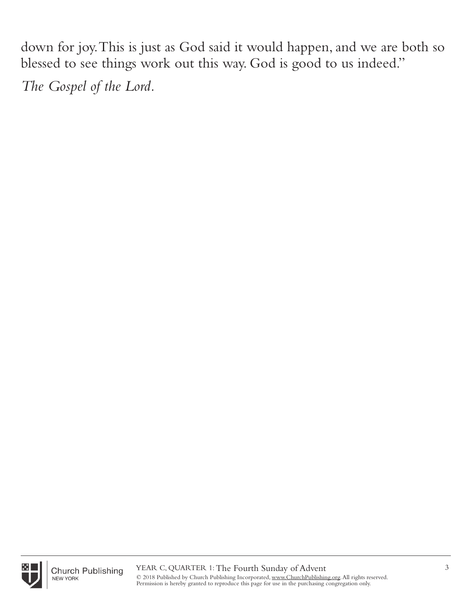down for joy. This is just as God said it would happen, and we are both so blessed to see things work out this way. God is good to us indeed."

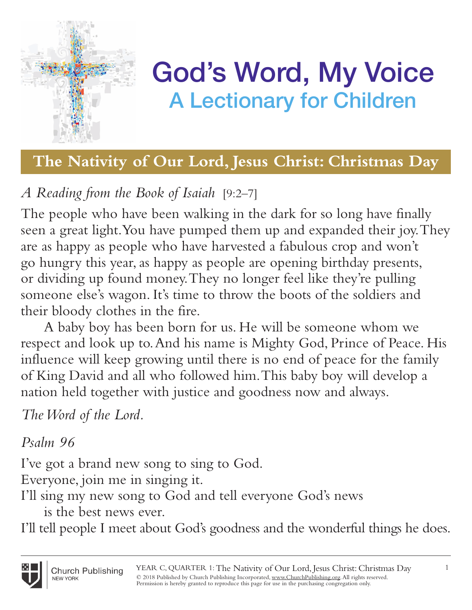

## **The Nativity of Our Lord, Jesus Christ: Christmas Day**

# *A Reading from the Book of Isaiah* [9:2–7]

The people who have been walking in the dark for so long have finally seen a great light. You have pumped them up and expanded their joy. They are as happy as people who have harvested a fabulous crop and won't go hungry this year, as happy as people are opening birthday presents, or dividing up found money. They no longer feel like they're pulling someone else's wagon. It's time to throw the boots of the soldiers and their bloody clothes in the fire.

A baby boy has been born for us. He will be someone whom we respect and look up to. And his name is Mighty God, Prince of Peace. His influence will keep growing until there is no end of peace for the family of King David and all who followed him. This baby boy will develop a nation held together with justice and goodness now and always.

*The Word of the Lord.*

#### *Psalm 96*

I've got a brand new song to sing to God.

Everyone, join me in singing it.

- I'll sing my new song to God and tell everyone God's news
	- is the best news ever.

I'll tell people I meet about God's goodness and the wonderful things he does.

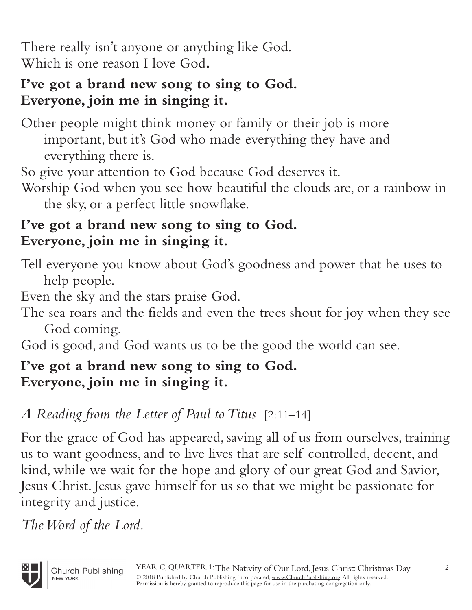There really isn't anyone or anything like God. Which is one reason I love God**.** 

#### **I've got a brand new song to sing to God. Everyone, join me in singing it.**

Other people might think money or family or their job is more important, but it's God who made everything they have and everything there is.

So give your attention to God because God deserves it.

Worship God when you see how beautiful the clouds are, or a rainbow in the sky, or a perfect little snowflake.

#### **I've got a brand new song to sing to God. Everyone, join me in singing it.**

Tell everyone you know about God's goodness and power that he uses to help people.

Even the sky and the stars praise God.

The sea roars and the fields and even the trees shout for joy when they see God coming.

God is good, and God wants us to be the good the world can see.

#### **I've got a brand new song to sing to God. Everyone, join me in singing it.**

### *A Reading from the Letter of Paul to Titus* [2:11–14]

For the grace of God has appeared, saving all of us from ourselves, training us to want goodness, and to live lives that are self-controlled, decent, and kind, while we wait for the hope and glory of our great God and Savior, Jesus Christ. Jesus gave himself for us so that we might be passionate for integrity and justice.

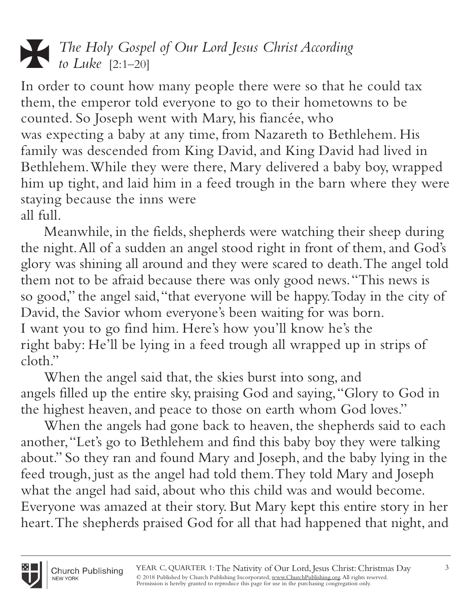

In order to count how many people there were so that he could tax them, the emperor told everyone to go to their hometowns to be counted. So Joseph went with Mary, his fiancée, who was expecting a baby at any time, from Nazareth to Bethlehem. His family was descended from King David, and King David had lived in Bethlehem. While they were there, Mary delivered a baby boy, wrapped him up tight, and laid him in a feed trough in the barn where they were staying because the inns were all full.

Meanwhile, in the fields, shepherds were watching their sheep during the night. All of a sudden an angel stood right in front of them, and God's glory was shining all around and they were scared to death. The angel told them not to be afraid because there was only good news. "This news is so good," the angel said, "that everyone will be happy. Today in the city of David, the Savior whom everyone's been waiting for was born. I want you to go find him. Here's how you'll know he's the right baby: He'll be lying in a feed trough all wrapped up in strips of cloth"

When the angel said that, the skies burst into song, and angels filled up the entire sky, praising God and saying, "Glory to God in the highest heaven, and peace to those on earth whom God loves."

When the angels had gone back to heaven, the shepherds said to each another, "Let's go to Bethlehem and find this baby boy they were talking about." So they ran and found Mary and Joseph, and the baby lying in the feed trough, just as the angel had told them. They told Mary and Joseph what the angel had said, about who this child was and would become. Everyone was amazed at their story. But Mary kept this entire story in her heart. The shepherds praised God for all that had happened that night, and